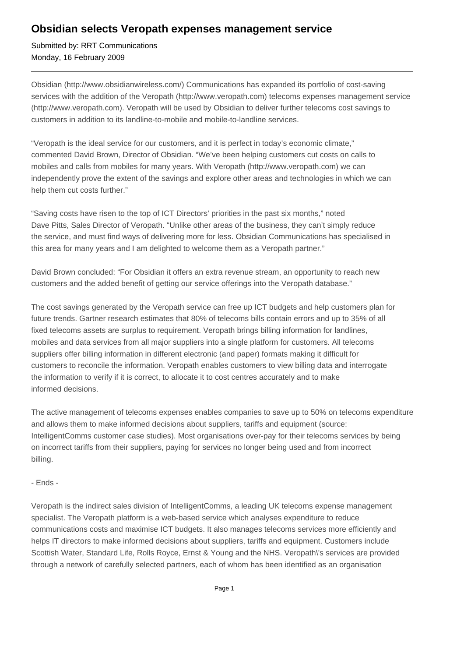## **Obsidian selects Veropath expenses management service**

Submitted by: RRT Communications Monday, 16 February 2009

Obsidian (http://www.obsidianwireless.com/) Communications has expanded its portfolio of cost-saving services with the addition of the Veropath (http://www.veropath.com) telecoms expenses management service (http://www.veropath.com). Veropath will be used by Obsidian to deliver further telecoms cost savings to customers in addition to its landline-to-mobile and mobile-to-landline services.

"Veropath is the ideal service for our customers, and it is perfect in today's economic climate," commented David Brown, Director of Obsidian. "We've been helping customers cut costs on calls to mobiles and calls from mobiles for many years. With Veropath (http://www.veropath.com) we can independently prove the extent of the savings and explore other areas and technologies in which we can help them cut costs further."

"Saving costs have risen to the top of ICT Directors' priorities in the past six months," noted Dave Pitts, Sales Director of Veropath. "Unlike other areas of the business, they can't simply reduce the service, and must find ways of delivering more for less. Obsidian Communications has specialised in this area for many years and I am delighted to welcome them as a Veropath partner."

David Brown concluded: "For Obsidian it offers an extra revenue stream, an opportunity to reach new customers and the added benefit of getting our service offerings into the Veropath database."

The cost savings generated by the Veropath service can free up ICT budgets and help customers plan for future trends. Gartner research estimates that 80% of telecoms bills contain errors and up to 35% of all fixed telecoms assets are surplus to requirement. Veropath brings billing information for landlines, mobiles and data services from all major suppliers into a single platform for customers. All telecoms suppliers offer billing information in different electronic (and paper) formats making it difficult for customers to reconcile the information. Veropath enables customers to view billing data and interrogate the information to verify if it is correct, to allocate it to cost centres accurately and to make informed decisions.

The active management of telecoms expenses enables companies to save up to 50% on telecoms expenditure and allows them to make informed decisions about suppliers, tariffs and equipment (source: IntelligentComms customer case studies). Most organisations over-pay for their telecoms services by being on incorrect tariffs from their suppliers, paying for services no longer being used and from incorrect billing.

## - Ends -

Veropath is the indirect sales division of IntelligentComms, a leading UK telecoms expense management specialist. The Veropath platform is a web-based service which analyses expenditure to reduce communications costs and maximise ICT budgets. It also manages telecoms services more efficiently and helps IT directors to make informed decisions about suppliers, tariffs and equipment. Customers include Scottish Water, Standard Life, Rolls Royce, Ernst & Young and the NHS. Veropath\'s services are provided through a network of carefully selected partners, each of whom has been identified as an organisation